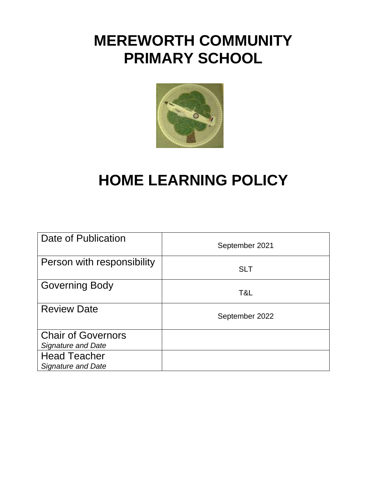## **MEREWORTH COMMUNITY PRIMARY SCHOOL**



# **HOME LEARNING POLICY**

| Date of Publication                                    | September 2021 |
|--------------------------------------------------------|----------------|
| Person with responsibility                             | <b>SLT</b>     |
| <b>Governing Body</b>                                  | T&L            |
| <b>Review Date</b>                                     | September 2022 |
| <b>Chair of Governors</b><br><b>Signature and Date</b> |                |
| <b>Head Teacher</b><br>Signature and Date              |                |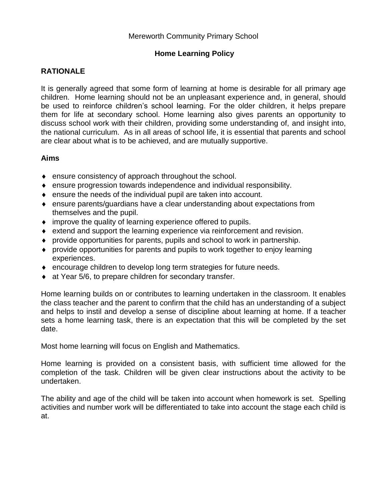#### **Home Learning Policy**

#### **RATIONALE**

It is generally agreed that some form of learning at home is desirable for all primary age children. Home learning should not be an unpleasant experience and, in general, should be used to reinforce children's school learning. For the older children, it helps prepare them for life at secondary school. Home learning also gives parents an opportunity to discuss school work with their children, providing some understanding of, and insight into, the national curriculum. As in all areas of school life, it is essential that parents and school are clear about what is to be achieved, and are mutually supportive.

#### **Aims**

- ensure consistency of approach throughout the school.
- ensure progression towards independence and individual responsibility.
- ensure the needs of the individual pupil are taken into account.
- ensure parents/guardians have a clear understanding about expectations from themselves and the pupil.
- improve the quality of learning experience offered to pupils.
- extend and support the learning experience via reinforcement and revision.
- provide opportunities for parents, pupils and school to work in partnership.
- provide opportunities for parents and pupils to work together to enjoy learning experiences.
- encourage children to develop long term strategies for future needs.
- ◆ at Year 5/6, to prepare children for secondary transfer.

Home learning builds on or contributes to learning undertaken in the classroom. It enables the class teacher and the parent to confirm that the child has an understanding of a subject and helps to instil and develop a sense of discipline about learning at home. If a teacher sets a home learning task, there is an expectation that this will be completed by the set date.

Most home learning will focus on English and Mathematics.

Home learning is provided on a consistent basis, with sufficient time allowed for the completion of the task. Children will be given clear instructions about the activity to be undertaken.

The ability and age of the child will be taken into account when homework is set. Spelling activities and number work will be differentiated to take into account the stage each child is at.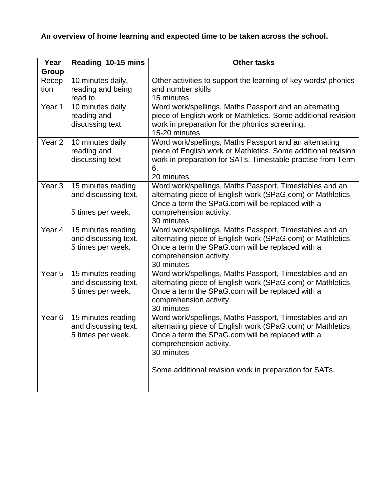### **An overview of home learning and expected time to be taken across the school.**

| Year              | Reading 10-15 mins                                              | <b>Other tasks</b>                                                                                                                                                                                                                                                            |
|-------------------|-----------------------------------------------------------------|-------------------------------------------------------------------------------------------------------------------------------------------------------------------------------------------------------------------------------------------------------------------------------|
| Group             |                                                                 |                                                                                                                                                                                                                                                                               |
| Recep<br>tion     | 10 minutes daily,<br>reading and being<br>read to.              | Other activities to support the learning of key words/ phonics<br>and number skills<br>15 minutes                                                                                                                                                                             |
| Year 1            | 10 minutes daily<br>reading and<br>discussing text              | Word work/spellings, Maths Passport and an alternating<br>piece of English work or Mathletics. Some additional revision<br>work in preparation for the phonics screening.<br>15-20 minutes                                                                                    |
| Year <sub>2</sub> | 10 minutes daily<br>reading and<br>discussing text              | Word work/spellings, Maths Passport and an alternating<br>piece of English work or Mathletics. Some additional revision<br>work in preparation for SATs. Timestable practise from Term<br>6.<br>20 minutes                                                                    |
| Year <sub>3</sub> | 15 minutes reading<br>and discussing text.<br>5 times per week. | Word work/spellings, Maths Passport, Timestables and an<br>alternating piece of English work (SPaG.com) or Mathletics.<br>Once a term the SPaG.com will be replaced with a<br>comprehension activity.<br>30 minutes                                                           |
| Year 4            | 15 minutes reading<br>and discussing text.<br>5 times per week. | Word work/spellings, Maths Passport, Timestables and an<br>alternating piece of English work (SPaG.com) or Mathletics.<br>Once a term the SPaG.com will be replaced with a<br>comprehension activity.<br>30 minutes                                                           |
| Year 5            | 15 minutes reading<br>and discussing text.<br>5 times per week. | Word work/spellings, Maths Passport, Timestables and an<br>alternating piece of English work (SPaG.com) or Mathletics.<br>Once a term the SPaG.com will be replaced with a<br>comprehension activity.<br>30 minutes                                                           |
| Year <sub>6</sub> | 15 minutes reading<br>and discussing text.<br>5 times per week. | Word work/spellings, Maths Passport, Timestables and an<br>alternating piece of English work (SPaG.com) or Mathletics.<br>Once a term the SPaG.com will be replaced with a<br>comprehension activity.<br>30 minutes<br>Some additional revision work in preparation for SATs. |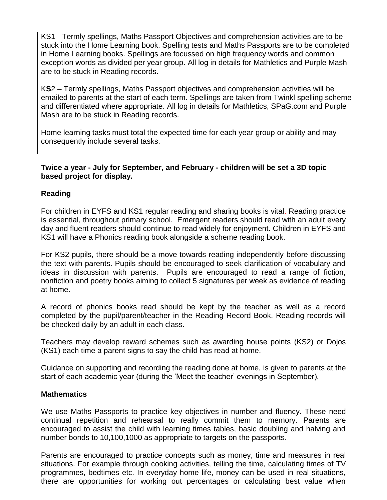KS1 - Termly spellings, Maths Passport Objectives and comprehension activities are to be stuck into the Home Learning book. Spelling tests and Maths Passports are to be completed in Home Learning books. Spellings are focussed on high frequency words and common exception words as divided per year group. All log in details for Mathletics and Purple Mash are to be stuck in Reading records.

K**S**2 – Termly spellings, Maths Passport objectives and comprehension activities will be emailed to parents at the start of each term. Spellings are taken from Twinkl spelling scheme and differentiated where appropriate. All log in details for Mathletics, SPaG.com and Purple Mash are to be stuck in Reading records.

Home learning tasks must total the expected time for each year group or ability and may consequently include several tasks.

#### **Twice a year - July for September, and February - children will be set a 3D topic based project for display.**

#### **Reading**

For children in EYFS and KS1 regular reading and sharing books is vital. Reading practice is essential, throughout primary school. Emergent readers should read with an adult every day and fluent readers should continue to read widely for enjoyment. Children in EYFS and KS1 will have a Phonics reading book alongside a scheme reading book.

For KS2 pupils, there should be a move towards reading independently before discussing the text with parents. Pupils should be encouraged to seek clarification of vocabulary and ideas in discussion with parents. Pupils are encouraged to read a range of fiction, nonfiction and poetry books aiming to collect 5 signatures per week as evidence of reading at home.

A record of phonics books read should be kept by the teacher as well as a record completed by the pupil/parent/teacher in the Reading Record Book. Reading records will be checked daily by an adult in each class.

Teachers may develop reward schemes such as awarding house points (KS2) or Dojos (KS1) each time a parent signs to say the child has read at home.

Guidance on supporting and recording the reading done at home, is given to parents at the start of each academic year (during the 'Meet the teacher' evenings in September).

#### **Mathematics**

We use Maths Passports to practice key objectives in number and fluency. These need continual repetition and rehearsal to really commit them to memory. Parents are encouraged to assist the child with learning times tables, basic doubling and halving and number bonds to 10,100,1000 as appropriate to targets on the passports.

Parents are encouraged to practice concepts such as money, time and measures in real situations. For example through cooking activities, telling the time, calculating times of TV programmes, bedtimes etc. In everyday home life, money can be used in real situations, there are opportunities for working out percentages or calculating best value when